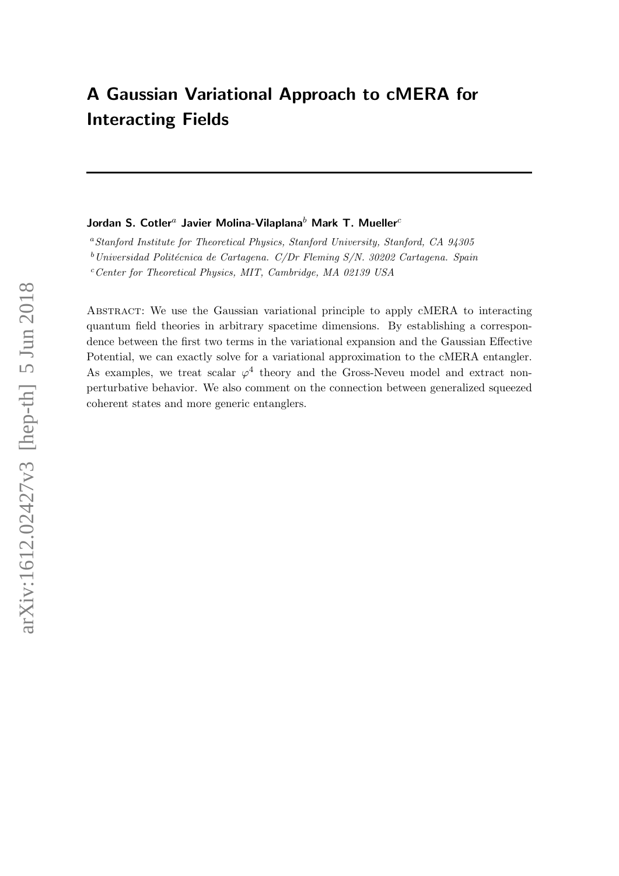# A Gaussian Variational Approach to cMERA for Interacting Fields

## Jordan S. Cotler<sup>a</sup> Javier Molina-Vilaplana<sup>b</sup> Mark T. Mueller<sup>c</sup>

<sup>a</sup>Stanford Institute for Theoretical Physics, Stanford University, Stanford, CA 94305

 $b$ Universidad Politécnica de Cartagena. C/Dr Fleming S/N. 30202 Cartagena. Spain

 $c$ <sup>c</sup>Center for Theoretical Physics, MIT, Cambridge, MA 02139 USA

Abstract: We use the Gaussian variational principle to apply cMERA to interacting quantum field theories in arbitrary spacetime dimensions. By establishing a correspondence between the first two terms in the variational expansion and the Gaussian Effective Potential, we can exactly solve for a variational approximation to the cMERA entangler. As examples, we treat scalar  $\varphi^4$  theory and the Gross-Neveu model and extract nonperturbative behavior. We also comment on the connection between generalized squeezed coherent states and more generic entanglers.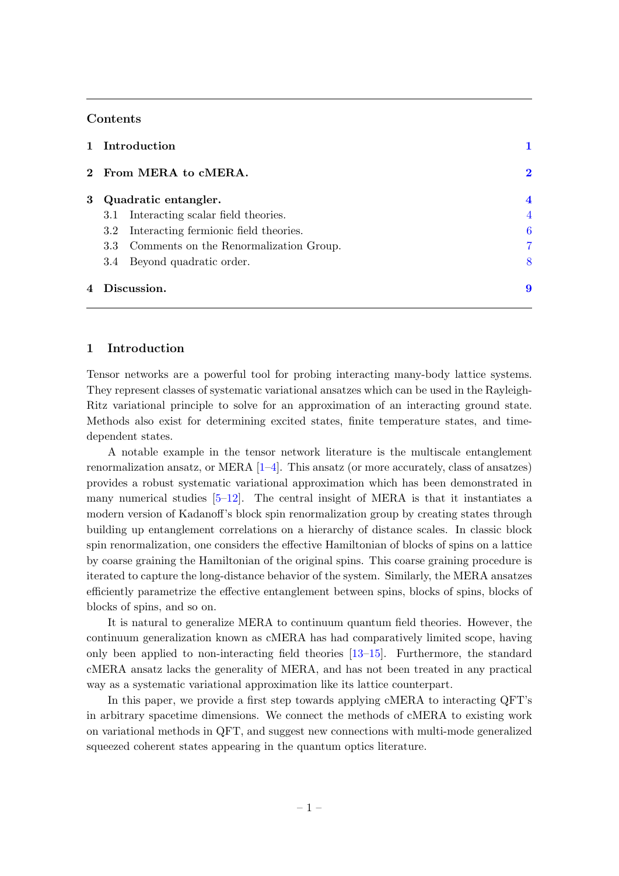## Contents

| 1 Introduction                             |                         |
|--------------------------------------------|-------------------------|
| 2 From MERA to cMERA.                      | $\bf{2}$                |
| 3 Quadratic entangler.                     | $\overline{\mathbf{4}}$ |
| Interacting scalar field theories.<br>3.1  | 4                       |
| 3.2 Interacting fermionic field theories.  | 6                       |
| 3.3 Comments on the Renormalization Group. | 7                       |
| Beyond quadratic order.<br>3.4             | 8                       |
| Discussion.<br>4                           | 9                       |
|                                            |                         |

## <span id="page-1-0"></span>1 Introduction

Tensor networks are a powerful tool for probing interacting many-body lattice systems. They represent classes of systematic variational ansatzes which can be used in the Rayleigh-Ritz variational principle to solve for an approximation of an interacting ground state. Methods also exist for determining excited states, finite temperature states, and timedependent states.

A notable example in the tensor network literature is the multiscale entanglement renormalization ansatz, or MERA  $[1-4]$ . This ansatz (or more accurately, class of ansatzes) provides a robust systematic variational approximation which has been demonstrated in many numerical studies  $[5-12]$  $[5-12]$ . The central insight of MERA is that it instantiates a modern version of Kadanoff's block spin renormalization group by creating states through building up entanglement correlations on a hierarchy of distance scales. In classic block spin renormalization, one considers the effective Hamiltonian of blocks of spins on a lattice by coarse graining the Hamiltonian of the original spins. This coarse graining procedure is iterated to capture the long-distance behavior of the system. Similarly, the MERA ansatzes efficiently parametrize the effective entanglement between spins, blocks of spins, blocks of blocks of spins, and so on.

It is natural to generalize MERA to continuum quantum field theories. However, the continuum generalization known as cMERA has had comparatively limited scope, having only been applied to non-interacting field theories [\[13–](#page-10-1)[15\]](#page-10-2). Furthermore, the standard cMERA ansatz lacks the generality of MERA, and has not been treated in any practical way as a systematic variational approximation like its lattice counterpart.

In this paper, we provide a first step towards applying cMERA to interacting QFT's in arbitrary spacetime dimensions. We connect the methods of cMERA to existing work on variational methods in QFT, and suggest new connections with multi-mode generalized squeezed coherent states appearing in the quantum optics literature.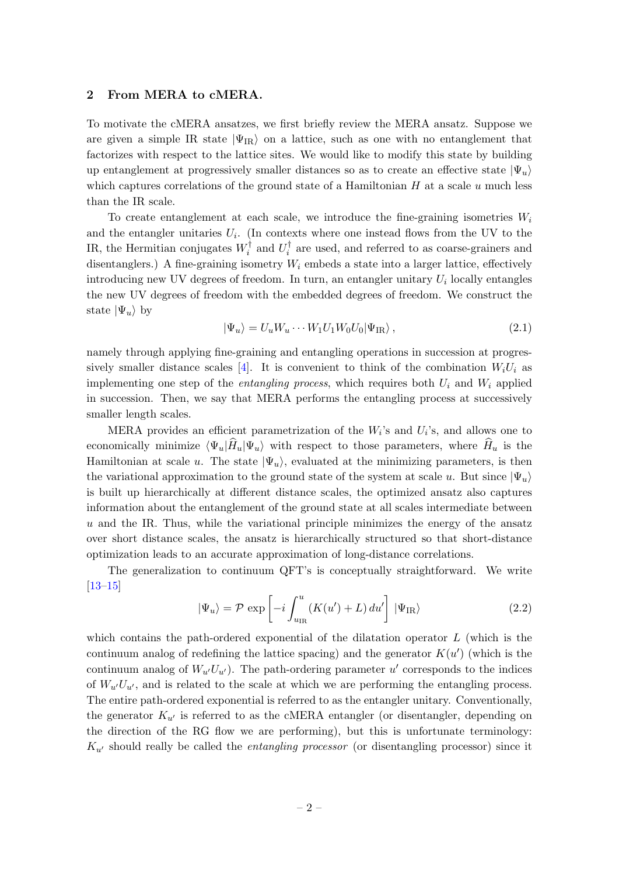#### <span id="page-2-0"></span>2 From MERA to cMERA.

To motivate the cMERA ansatzes, we first briefly review the MERA ansatz. Suppose we are given a simple IR state  $|\Psi_{IR}\rangle$  on a lattice, such as one with no entanglement that factorizes with respect to the lattice sites. We would like to modify this state by building up entanglement at progressively smaller distances so as to create an effective state  $|\Psi_u\rangle$ which captures correlations of the ground state of a Hamiltonian  $H$  at a scale  $u$  much less than the IR scale.

To create entanglement at each scale, we introduce the fine-graining isometries  $W_i$ and the entangler unitaries  $U_i$ . (In contexts where one instead flows from the UV to the IR, the Hermitian conjugates  $W_i^{\dagger}$  $U_i^{\dagger}$  and  $U_i^{\dagger}$  $i$  are used, and referred to as coarse-grainers and disentanglers.) A fine-graining isometry  $W_i$  embeds a state into a larger lattice, effectively introducing new UV degrees of freedom. In turn, an entangler unitary  $U_i$  locally entangles the new UV degrees of freedom with the embedded degrees of freedom. We construct the state  $|\Psi_u\rangle$  by

$$
|\Psi_u\rangle = U_u W_u \cdots W_1 U_1 W_0 U_0 |\Psi_{IR}\rangle, \qquad (2.1)
$$

namely through applying fine-graining and entangling operations in succession at progres-sively smaller distance scales [\[4\]](#page-9-2). It is convenient to think of the combination  $W_iU_i$  as implementing one step of the *entangling process*, which requires both  $U_i$  and  $W_i$  applied in succession. Then, we say that MERA performs the entangling process at successively smaller length scales.

MERA provides an efficient parametrization of the  $W_i$ 's and  $U_i$ 's, and allows one to economically minimize  $\langle \Psi_u|\hat{H}_u|\Psi_u\rangle$  with respect to those parameters, where  $H_u$  is the Hamiltonian at scale u. The state  $|\Psi_u\rangle$ , evaluated at the minimizing parameters, is then the variational approximation to the ground state of the system at scale u. But since  $|\Psi_u\rangle$ is built up hierarchically at different distance scales, the optimized ansatz also captures information about the entanglement of the ground state at all scales intermediate between  $u$  and the IR. Thus, while the variational principle minimizes the energy of the ansatz over short distance scales, the ansatz is hierarchically structured so that short-distance optimization leads to an accurate approximation of long-distance correlations.

The generalization to continuum QFT's is conceptually straightforward. We write [\[13–](#page-10-1)[15\]](#page-10-2)

<span id="page-2-1"></span>
$$
|\Psi_u\rangle = \mathcal{P} \exp\left[-i\int_{u_{\rm IR}}^u (K(u') + L) \, du'\right] |\Psi_{\rm IR}\rangle \tag{2.2}
$$

which contains the path-ordered exponential of the dilatation operator  $L$  (which is the continuum analog of redefining the lattice spacing) and the generator  $K(u')$  (which is the continuum analog of  $W_{u'}U_{u'}$ ). The path-ordering parameter u' corresponds to the indices of  $W_{u'}U_{u'}$ , and is related to the scale at which we are performing the entangling process. The entire path-ordered exponential is referred to as the entangler unitary. Conventionally, the generator  $K_{u'}$  is referred to as the cMERA entangler (or disentangler, depending on the direction of the RG flow we are performing), but this is unfortunate terminology:  $K_{u'}$  should really be called the *entangling processor* (or disentangling processor) since it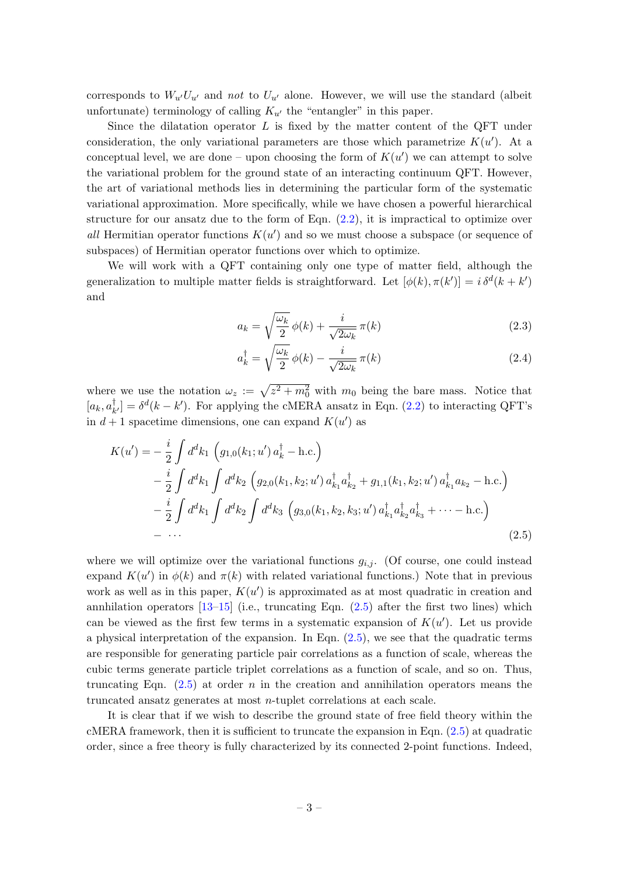corresponds to  $W_{u'}U_{u'}$  and not to  $U_{u'}$  alone. However, we will use the standard (albeit unfortunate) terminology of calling  $K_{u'}$  the "entangler" in this paper.

Since the dilatation operator  $L$  is fixed by the matter content of the QFT under consideration, the only variational parameters are those which parametrize  $K(u')$ . At a conceptual level, we are done – upon choosing the form of  $K(u')$  we can attempt to solve the variational problem for the ground state of an interacting continuum QFT. However, the art of variational methods lies in determining the particular form of the systematic variational approximation. More specifically, while we have chosen a powerful hierarchical structure for our ansatz due to the form of Eqn.  $(2.2)$ , it is impractical to optimize over all Hermitian operator functions  $K(u')$  and so we must choose a subspace (or sequence of subspaces) of Hermitian operator functions over which to optimize.

We will work with a QFT containing only one type of matter field, although the generalization to multiple matter fields is straightforward. Let  $[\phi(k), \pi(k')] = i \delta^d(k + k')$ and

$$
a_k = \sqrt{\frac{\omega_k}{2}} \phi(k) + \frac{i}{\sqrt{2\omega_k}} \pi(k) \tag{2.3}
$$

<span id="page-3-0"></span>
$$
a_k^{\dagger} = \sqrt{\frac{\omega_k}{2}} \phi(k) - \frac{i}{\sqrt{2\omega_k}} \pi(k)
$$
\n(2.4)

where we use the notation  $\omega_z := \sqrt{z^2 + m_0^2}$  with  $m_0$  being the bare mass. Notice that  $[a_k, a_k^{\dagger}]$  $_{k'}^{\dagger}$ ] =  $\delta^{d}(k - k')$ . For applying the cMERA ansatz in Eqn. [\(2.2\)](#page-2-1) to interacting QFT's in  $d+1$  spacetime dimensions, one can expand  $K(u')$  as

$$
K(u') = -\frac{i}{2} \int d^d k_1 \left( g_{1,0}(k_1; u') a_k^{\dagger} - \text{h.c.} \right)
$$
  
\n
$$
- \frac{i}{2} \int d^d k_1 \int d^d k_2 \left( g_{2,0}(k_1, k_2; u') a_{k_1}^{\dagger} a_{k_2}^{\dagger} + g_{1,1}(k_1, k_2; u') a_{k_1}^{\dagger} a_{k_2} - \text{h.c.} \right)
$$
  
\n
$$
- \frac{i}{2} \int d^d k_1 \int d^d k_2 \int d^d k_3 \left( g_{3,0}(k_1, k_2, k_3; u') a_{k_1}^{\dagger} a_{k_2}^{\dagger} a_{k_3}^{\dagger} + \cdots - \text{h.c.} \right)
$$
  
\n
$$
- \cdots
$$
\n(2.5)

where we will optimize over the variational functions  $g_{i,j}$ . (Of course, one could instead expand  $K(u')$  in  $\phi(k)$  and  $\pi(k)$  with related variational functions.) Note that in previous work as well as in this paper,  $K(u')$  is approximated as at most quadratic in creation and annhilation operators  $[13-15]$  $[13-15]$  (i.e., truncating Eqn.  $(2.5)$  after the first two lines) which can be viewed as the first few terms in a systematic expansion of  $K(u')$ . Let us provide a physical interpretation of the expansion. In Eqn. [\(2.5\)](#page-3-0), we see that the quadratic terms are responsible for generating particle pair correlations as a function of scale, whereas the cubic terms generate particle triplet correlations as a function of scale, and so on. Thus, truncating Eqn.  $(2.5)$  at order n in the creation and annihilation operators means the truncated ansatz generates at most n-tuplet correlations at each scale.

It is clear that if we wish to describe the ground state of free field theory within the cMERA framework, then it is sufficient to truncate the expansion in Eqn. [\(2.5\)](#page-3-0) at quadratic order, since a free theory is fully characterized by its connected 2-point functions. Indeed,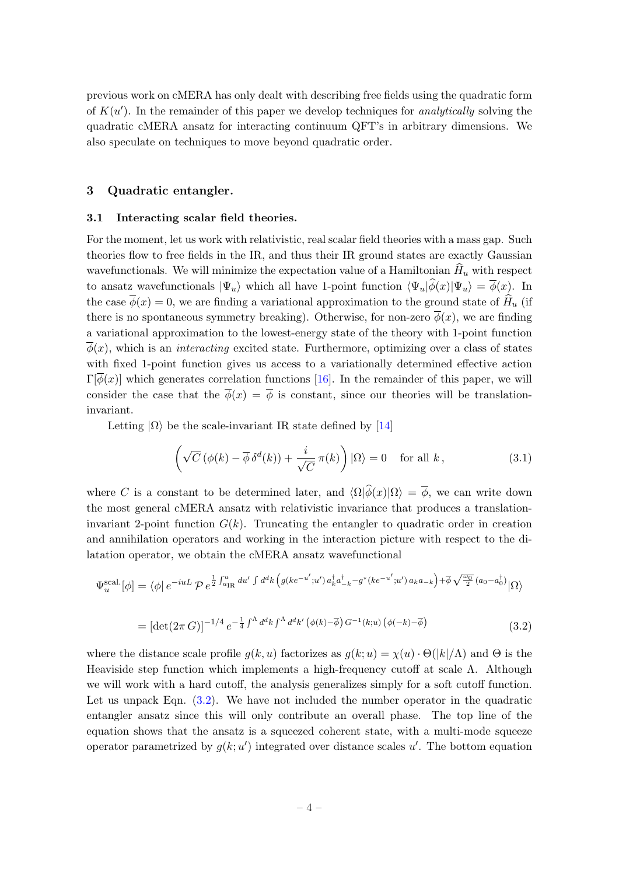previous work on cMERA has only dealt with describing free fields using the quadratic form of  $K(u')$ . In the remainder of this paper we develop techniques for *analytically* solving the quadratic cMERA ansatz for interacting continuum QFT's in arbitrary dimensions. We also speculate on techniques to move beyond quadratic order.

#### <span id="page-4-0"></span>3 Quadratic entangler.

#### <span id="page-4-1"></span>3.1 Interacting scalar field theories.

For the moment, let us work with relativistic, real scalar field theories with a mass gap. Such theories flow to free fields in the IR, and thus their IR ground states are exactly Gaussian wavefunctionals. We will minimize the expectation value of a Hamiltonian  $\hat{H}_u$  with respect to ansatz wavefunctionals  $|\Psi_u\rangle$  which all have 1-point function  $\langle \Psi_u|\hat{\phi}(x)|\Psi_u\rangle = \overline{\phi}(x)$ . In the case  $\overline{\phi}(x) = 0$ , we are finding a variational approximation to the ground state of  $\widehat{H}_u$  (if there is no spontaneous symmetry breaking). Otherwise, for non-zero  $\overline{\phi}(x)$ , we are finding a variational approximation to the lowest-energy state of the theory with 1-point function  $\phi(x)$ , which is an *interacting* excited state. Furthermore, optimizing over a class of states with fixed 1-point function gives us access to a variationally determined effective action  $\Gamma[\phi(x)]$  which generates correlation functions [\[16\]](#page-10-3). In the remainder of this paper, we will consider the case that the  $\overline{\phi}(x) = \overline{\phi}$  is constant, since our theories will be translationinvariant.

Letting  $|\Omega\rangle$  be the scale-invariant IR state defined by [\[14\]](#page-10-4)

<span id="page-4-3"></span><span id="page-4-2"></span>
$$
\left(\sqrt{C}\left(\phi(k) - \overline{\phi}\,\delta^d(k)\right) + \frac{i}{\sqrt{C}}\,\pi(k)\right)|\Omega\rangle = 0 \quad \text{for all } k\,,\tag{3.1}
$$

where C is a constant to be determined later, and  $\langle \Omega | \hat{\phi}(x) | \Omega \rangle = \overline{\phi}$ , we can write down the most general cMERA ansatz with relativistic invariance that produces a translationinvariant 2-point function  $G(k)$ . Truncating the entangler to quadratic order in creation and annihilation operators and working in the interaction picture with respect to the dilatation operator, we obtain the cMERA ansatz wavefunctional

$$
\Psi_{u}^{\text{scal.}}[\phi] = \langle \phi | e^{-i u L} \mathcal{P} e^{\frac{1}{2} \int_{u_{\text{IR}}}^{u} du'} \int d^d k \left( g(ke^{-u'}; u') a_k^{\dagger} a_{-k}^{\dagger} - g^*(ke^{-u'}; u') a_k a_{-k} \right) + \overline{\phi} \sqrt{\frac{\omega_0}{2}} (a_0 - a_0^{\dagger}) |\Omega \rangle
$$
  
= 
$$
[\det(2\pi G)]^{-1/4} e^{-\frac{1}{4} \int^{\Lambda} d^d k \int^{\Lambda} d^d k'} (\phi(k) - \overline{\phi}) G^{-1}(k; u) (\phi(-k) - \overline{\phi})
$$
(3.2)

where the distance scale profile  $g(k, u)$  factorizes as  $g(k; u) = \chi(u) \cdot \Theta(|k|/\Lambda)$  and  $\Theta$  is the Heaviside step function which implements a high-frequency cutoff at scale Λ. Although we will work with a hard cutoff, the analysis generalizes simply for a soft cutoff function. Let us unpack Eqn.  $(3.2)$ . We have not included the number operator in the quadratic entangler ansatz since this will only contribute an overall phase. The top line of the equation shows that the ansatz is a squeezed coherent state, with a multi-mode squeeze operator parametrized by  $g(k; u')$  integrated over distance scales u'. The bottom equation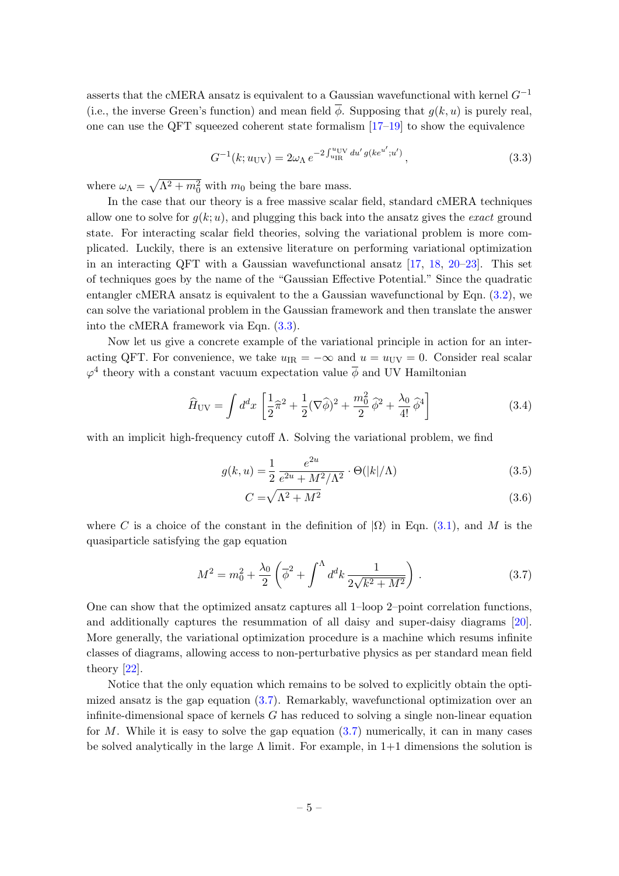asserts that the cMERA ansatz is equivalent to a Gaussian wavefunctional with kernel  $G^{-1}$ (i.e., the inverse Green's function) and mean field  $\overline{\phi}$ . Supposing that  $q(k, u)$  is purely real, one can use the QFT squeezed coherent state formalism  $[17-19]$  $[17-19]$  to show the equivalence

<span id="page-5-0"></span>
$$
G^{-1}(k; u_{\rm UV}) = 2\omega_{\Lambda} e^{-2\int_{u_{\rm IR}}^{u_{\rm UV}} du' g(ke^{u'}; u')}, \qquad (3.3)
$$

where  $\omega_{\Lambda} = \sqrt{\Lambda^2 + m_0^2}$  with  $m_0$  being the bare mass.

In the case that our theory is a free massive scalar field, standard cMERA techniques allow one to solve for  $q(k; u)$ , and plugging this back into the ansatz gives the *exact* ground state. For interacting scalar field theories, solving the variational problem is more complicated. Luckily, there is an extensive literature on performing variational optimization in an interacting QFT with a Gaussian wavefunctional ansatz [\[17,](#page-10-5) [18,](#page-10-7) [20–](#page-10-8)[23\]](#page-10-9). This set of techniques goes by the name of the "Gaussian Effective Potential." Since the quadratic entangler cMERA ansatz is equivalent to the a Gaussian wavefunctional by Eqn. [\(3.2\)](#page-4-2), we can solve the variational problem in the Gaussian framework and then translate the answer into the cMERA framework via Eqn. [\(3.3\)](#page-5-0).

Now let us give a concrete example of the variational principle in action for an interacting QFT. For convenience, we take  $u_{IR} = -\infty$  and  $u = u_{UV} = 0$ . Consider real scalar  $\varphi^4$  theory with a constant vacuum expectation value  $\overline{\phi}$  and UV Hamiltonian

$$
\widehat{H}_{\rm UV} = \int d^d x \left[ \frac{1}{2} \widehat{\pi}^2 + \frac{1}{2} (\nabla \widehat{\phi})^2 + \frac{m_0^2}{2} \widehat{\phi}^2 + \frac{\lambda_0}{4!} \widehat{\phi}^4 \right] \tag{3.4}
$$

with an implicit high-frequency cutoff  $\Lambda$ . Solving the variational problem, we find

$$
g(k, u) = \frac{1}{2} \frac{e^{2u}}{e^{2u} + M^2/\Lambda^2} \cdot \Theta(|k|/\Lambda)
$$
 (3.5)

<span id="page-5-3"></span><span id="page-5-2"></span>
$$
C = \sqrt{\Lambda^2 + M^2} \tag{3.6}
$$

where C is a choice of the constant in the definition of  $|\Omega\rangle$  in Eqn. [\(3.1\)](#page-4-3), and M is the quasiparticle satisfying the gap equation

<span id="page-5-1"></span>
$$
M^{2} = m_{0}^{2} + \frac{\lambda_{0}}{2} \left( \overline{\phi}^{2} + \int^{\Lambda} d^{d}k \, \frac{1}{2\sqrt{k^{2} + M^{2}}} \right) . \tag{3.7}
$$

One can show that the optimized ansatz captures all 1–loop 2–point correlation functions, and additionally captures the resummation of all daisy and super-daisy diagrams [\[20\]](#page-10-8). More generally, the variational optimization procedure is a machine which resums infinite classes of diagrams, allowing access to non-perturbative physics as per standard mean field theory [\[22\]](#page-10-10).

Notice that the only equation which remains to be solved to explicitly obtain the optimized ansatz is the gap equation  $(3.7)$ . Remarkably, wavefunctional optimization over an infinite-dimensional space of kernels  $G$  has reduced to solving a single non-linear equation for M. While it is easy to solve the gap equation  $(3.7)$  numerically, it can in many cases be solved analytically in the large  $\Lambda$  limit. For example, in  $1+1$  dimensions the solution is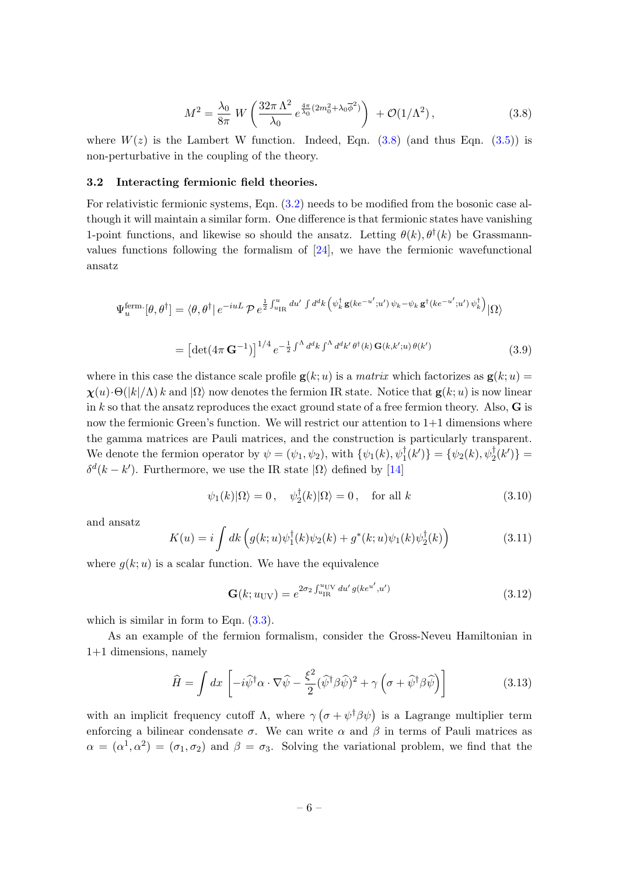<span id="page-6-1"></span>
$$
M^{2} = \frac{\lambda_{0}}{8\pi} W \left( \frac{32\pi \Lambda^{2}}{\lambda_{0}} e^{\frac{4\pi}{\lambda_{0}} (2m_{0}^{2} + \lambda_{0}\overline{\phi}^{2})} \right) + \mathcal{O}(1/\Lambda^{2}), \qquad (3.8)
$$

where  $W(z)$  is the Lambert W function. Indeed, Eqn.  $(3.8)$  (and thus Eqn.  $(3.5)$ ) is non-perturbative in the coupling of the theory.

#### <span id="page-6-0"></span>3.2 Interacting fermionic field theories.

For relativistic fermionic systems, Eqn. [\(3.2\)](#page-4-2) needs to be modified from the bosonic case although it will maintain a similar form. One difference is that fermionic states have vanishing 1-point functions, and likewise so should the ansatz. Letting  $\theta(k)$ ,  $\theta^{\dagger}(k)$  be Grassmannvalues functions following the formalism of [\[24\]](#page-10-11), we have the fermionic wavefunctional ansatz

$$
\Psi_u^{\text{ferm.}}[\theta, \theta^\dagger] = \langle \theta, \theta^\dagger | e^{-i u L} \mathcal{P} e^{\frac{1}{2} \int_{u_{\text{IR}}}^u du' \int d^d k} \left( \psi_k^\dagger \mathbf{g}(k e^{-u'}; u') \psi_k - \psi_k \mathbf{g}^\dagger(k e^{-u'}; u') \psi_k^\dagger \right) | \Omega \rangle
$$
  

$$
= \left[ \det(4\pi \, \mathbf{G}^{-1}) \right]^{1/4} e^{-\frac{1}{2} \int^{\Lambda} d^d k \int^{\Lambda} d^d k' \theta^\dagger(k) \, \mathbf{G}(k, k'; u) \, \theta(k')} \tag{3.9}
$$

where in this case the distance scale profile  $g(k; u)$  is a matrix which factorizes as  $g(k; u)$  =  $\chi(u) \cdot \Theta(|k|/\Lambda) k$  and  $|\Omega\rangle$  now denotes the fermion IR state. Notice that  $g(k; u)$  is now linear in k so that the ansatz reproduces the exact ground state of a free fermion theory. Also,  $\bf{G}$  is now the fermionic Green's function. We will restrict our attention to  $1+1$  dimensions where the gamma matrices are Pauli matrices, and the construction is particularly transparent. We denote the fermion operator by  $\psi = (\psi_1, \psi_2)$ , with  $\{\psi_1(k), \psi_1^{\dagger}(k')\} = \{\psi_2(k), \psi_2^{\dagger}(k')\} =$  $\delta^d(k - k')$ . Furthermore, we use the IR state  $|\Omega\rangle$  defined by [\[14\]](#page-10-4)

$$
\psi_1(k)|\Omega\rangle = 0\,, \quad \psi_2^{\dagger}(k)|\Omega\rangle = 0\,, \quad \text{for all } k \tag{3.10}
$$

and ansatz

$$
K(u) = i \int dk \left( g(k; u)\psi_1^{\dagger}(k)\psi_2(k) + g^*(k; u)\psi_1(k)\psi_2^{\dagger}(k) \right) \tag{3.11}
$$

where  $g(k; u)$  is a scalar function. We have the equivalence

$$
\mathbf{G}(k; u_{\rm UV}) = e^{2\sigma_2 \int_{u_{\rm IR}}^{u_{\rm UV}} du' g(ke^{u'}, u')}
$$
 (3.12)

which is similar in form to Eqn.  $(3.3)$ .

As an example of the fermion formalism, consider the Gross-Neveu Hamiltonian in 1+1 dimensions, namely

$$
\widehat{H} = \int dx \left[ -i\widehat{\psi}^{\dagger}\alpha \cdot \nabla \widehat{\psi} - \frac{\xi^{2}}{2} (\widehat{\psi}^{\dagger}\beta\widehat{\psi})^{2} + \gamma \left( \sigma + \widehat{\psi}^{\dagger}\beta\widehat{\psi} \right) \right]
$$
(3.13)

with an implicit frequency cutoff  $\Lambda$ , where  $\gamma (\sigma + \psi^{\dagger} \beta \psi)$  is a Lagrange multiplier term enforcing a bilinear condensate  $\sigma$ . We can write  $\alpha$  and  $\beta$  in terms of Pauli matrices as  $\alpha = (\alpha^1, \alpha^2) = (\sigma_1, \sigma_2)$  and  $\beta = \sigma_3$ . Solving the variational problem, we find that the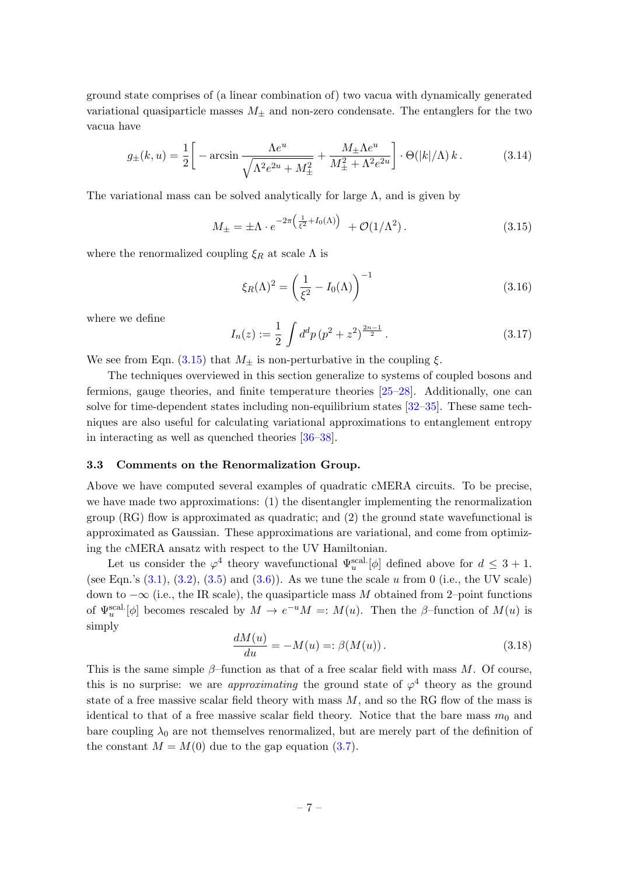ground state comprises of (a linear combination of) two vacua with dynamically generated variational quasiparticle masses  $M_{\pm}$  and non-zero condensate. The entanglers for the two vacua have

$$
g_{\pm}(k,u) = \frac{1}{2} \left[ -\arcsin \frac{\Lambda e^u}{\sqrt{\Lambda^2 e^{2u} + M_{\pm}^2}} + \frac{M_{\pm} \Lambda e^u}{M_{\pm}^2 + \Lambda^2 e^{2u}} \right] \cdot \Theta(|k|/\Lambda) k. \tag{3.14}
$$

The variational mass can be solved analytically for large  $\Lambda$ , and is given by

<span id="page-7-1"></span>
$$
M_{\pm} = \pm \Lambda \cdot e^{-2\pi \left(\frac{1}{\xi^2} + I_0(\Lambda)\right)} + \mathcal{O}(1/\Lambda^2). \tag{3.15}
$$

where the renormalized coupling  $\xi_R$  at scale  $\Lambda$  is

$$
\xi_R(\Lambda)^2 = \left(\frac{1}{\xi^2} - I_0(\Lambda)\right)^{-1}
$$
\n(3.16)

where we define

$$
I_n(z) := \frac{1}{2} \int d^d p \left( p^2 + z^2 \right)^{\frac{2n-1}{2}}.
$$
 (3.17)

We see from Eqn. [\(3.15\)](#page-7-1) that  $M_{\pm}$  is non-perturbative in the coupling  $\xi$ .

The techniques overviewed in this section generalize to systems of coupled bosons and fermions, gauge theories, and finite temperature theories [\[25–](#page-11-0)[28\]](#page-11-1). Additionally, one can solve for time-dependent states including non-equilibrium states [\[32–](#page-11-2)[35\]](#page-11-3). These same techniques are also useful for calculating variational approximations to entanglement entropy in interacting as well as quenched theories [\[36–](#page-11-4)[38\]](#page-11-5).

#### <span id="page-7-0"></span>3.3 Comments on the Renormalization Group.

Above we have computed several examples of quadratic cMERA circuits. To be precise, we have made two approximations: (1) the disentangler implementing the renormalization group (RG) flow is approximated as quadratic; and (2) the ground state wavefunctional is approximated as Gaussian. These approximations are variational, and come from optimizing the cMERA ansatz with respect to the UV Hamiltonian.

Let us consider the  $\varphi^4$  theory wavefunctional  $\Psi_u^{\text{scal.}}[\phi]$  defined above for  $d \leq 3+1$ . (see Eqn.'s  $(3.1), (3.2), (3.5)$  $(3.1), (3.2), (3.5)$  $(3.1), (3.2), (3.5)$  $(3.1), (3.2), (3.5)$  and  $(3.6)$ ). As we tune the scale u from 0 (i.e., the UV scale) down to  $-\infty$  (i.e., the IR scale), the quasiparticle mass M obtained from 2–point functions of  $\Psi_u^{\text{scal.}}[\phi]$  becomes rescaled by  $M \to e^{-u}M =: M(u)$ . Then the  $\beta$ -function of  $M(u)$  is simply

$$
\frac{dM(u)}{du} = -M(u) =: \beta(M(u)).
$$
\n(3.18)

This is the same simple  $\beta$ -function as that of a free scalar field with mass M. Of course, this is no surprise: we are *approximating* the ground state of  $\varphi^4$  theory as the ground state of a free massive scalar field theory with mass  $M$ , and so the RG flow of the mass is identical to that of a free massive scalar field theory. Notice that the bare mass  $m_0$  and bare coupling  $\lambda_0$  are not themselves renormalized, but are merely part of the definition of the constant  $M = M(0)$  due to the gap equation [\(3.7\)](#page-5-1).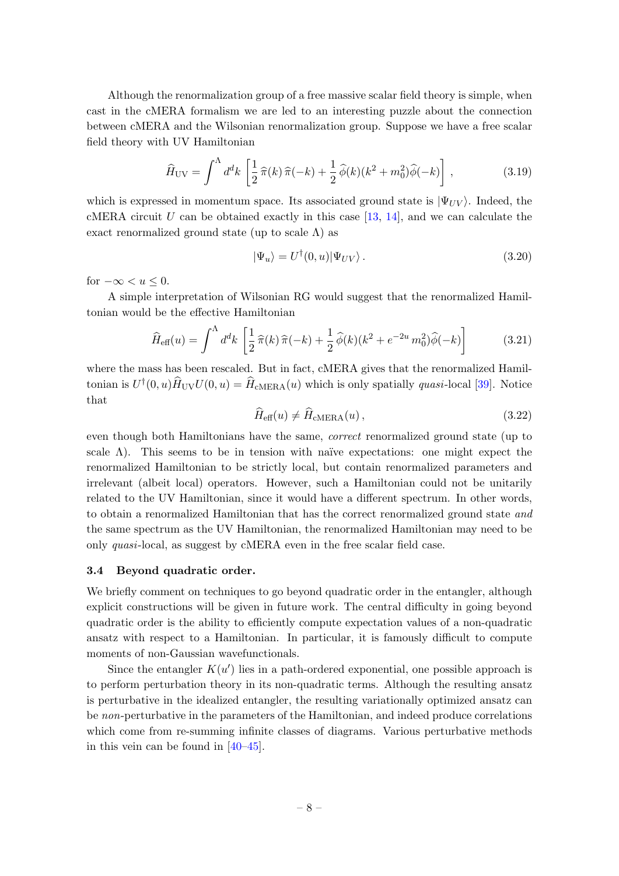Although the renormalization group of a free massive scalar field theory is simple, when cast in the cMERA formalism we are led to an interesting puzzle about the connection between cMERA and the Wilsonian renormalization group. Suppose we have a free scalar field theory with UV Hamiltonian

$$
\widehat{H}_{\rm UV} = \int^{\Lambda} d^d k \left[ \frac{1}{2} \widehat{\pi}(k) \widehat{\pi}(-k) + \frac{1}{2} \widehat{\phi}(k) (k^2 + m_0^2) \widehat{\phi}(-k) \right],\tag{3.19}
$$

which is expressed in momentum space. Its associated ground state is  $|\Psi_{UV}\rangle$ . Indeed, the cMERA circuit U can be obtained exactly in this case  $[13, 14]$  $[13, 14]$ , and we can calculate the exact renormalized ground state (up to scale  $\Lambda$ ) as

$$
|\Psi_u\rangle = U^{\dagger}(0, u)|\Psi_{UV}\rangle. \tag{3.20}
$$

for  $-\infty < u \leq 0$ .

A simple interpretation of Wilsonian RG would suggest that the renormalized Hamiltonian would be the effective Hamiltonian

$$
\widehat{H}_{\text{eff}}(u) = \int^{\Lambda} d^d k \left[ \frac{1}{2} \widehat{\pi}(k) \widehat{\pi}(-k) + \frac{1}{2} \widehat{\phi}(k) (k^2 + e^{-2u} m_0^2) \widehat{\phi}(-k) \right] \tag{3.21}
$$

where the mass has been rescaled. But in fact, cMERA gives that the renormalized Hamiltonian is  $U^{\dagger}(0, u)\hat{H}_{\text{UV}}U(0, u) = \hat{H}_{\text{cMERA}}(u)$  which is only spatially *quasi*-local [\[39\]](#page-11-6). Notice that

$$
\widehat{H}_{\text{eff}}(u) \neq \widehat{H}_{\text{cMERA}}(u),\tag{3.22}
$$

even though both Hamiltonians have the same, correct renormalized ground state (up to scale  $\Lambda$ ). This seems to be in tension with naïve expectations: one might expect the renormalized Hamiltonian to be strictly local, but contain renormalized parameters and irrelevant (albeit local) operators. However, such a Hamiltonian could not be unitarily related to the UV Hamiltonian, since it would have a different spectrum. In other words, to obtain a renormalized Hamiltonian that has the correct renormalized ground state and the same spectrum as the UV Hamiltonian, the renormalized Hamiltonian may need to be only quasi-local, as suggest by cMERA even in the free scalar field case.

## <span id="page-8-0"></span>3.4 Beyond quadratic order.

We briefly comment on techniques to go beyond quadratic order in the entangler, although explicit constructions will be given in future work. The central difficulty in going beyond quadratic order is the ability to efficiently compute expectation values of a non-quadratic ansatz with respect to a Hamiltonian. In particular, it is famously difficult to compute moments of non-Gaussian wavefunctionals.

Since the entangler  $K(u')$  lies in a path-ordered exponential, one possible approach is to perform perturbation theory in its non-quadratic terms. Although the resulting ansatz is perturbative in the idealized entangler, the resulting variationally optimized ansatz can be non-perturbative in the parameters of the Hamiltonian, and indeed produce correlations which come from re-summing infinite classes of diagrams. Various perturbative methods in this vein can be found in [\[40](#page-11-7)[–45\]](#page-12-0).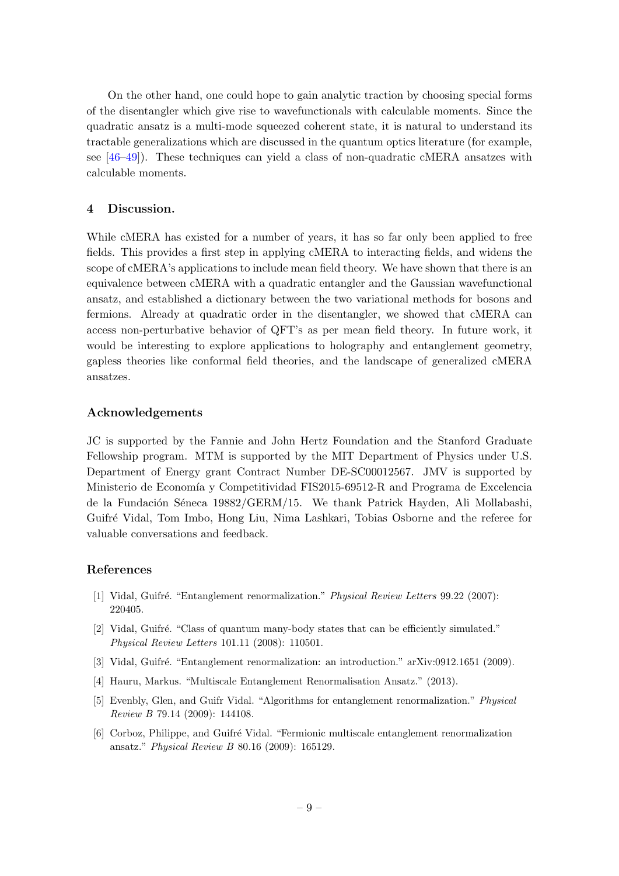On the other hand, one could hope to gain analytic traction by choosing special forms of the disentangler which give rise to wavefunctionals with calculable moments. Since the quadratic ansatz is a multi-mode squeezed coherent state, it is natural to understand its tractable generalizations which are discussed in the quantum optics literature (for example, see [\[46–](#page-12-1)[49\]](#page-12-2)). These techniques can yield a class of non-quadratic cMERA ansatzes with calculable moments.

## <span id="page-9-0"></span>4 Discussion.

While cMERA has existed for a number of years, it has so far only been applied to free fields. This provides a first step in applying cMERA to interacting fields, and widens the scope of cMERA's applications to include mean field theory. We have shown that there is an equivalence between cMERA with a quadratic entangler and the Gaussian wavefunctional ansatz, and established a dictionary between the two variational methods for bosons and fermions. Already at quadratic order in the disentangler, we showed that cMERA can access non-perturbative behavior of QFT's as per mean field theory. In future work, it would be interesting to explore applications to holography and entanglement geometry, gapless theories like conformal field theories, and the landscape of generalized cMERA ansatzes.

### Acknowledgements

JC is supported by the Fannie and John Hertz Foundation and the Stanford Graduate Fellowship program. MTM is supported by the MIT Department of Physics under U.S. Department of Energy grant Contract Number DE-SC00012567. JMV is supported by Ministerio de Economía y Competitividad FIS2015-69512-R and Programa de Excelencia de la Fundación Séneca 19882/GERM/15. We thank Patrick Hayden, Ali Mollabashi, Guifr´e Vidal, Tom Imbo, Hong Liu, Nima Lashkari, Tobias Osborne and the referee for valuable conversations and feedback.

## References

- <span id="page-9-1"></span>[1] Vidal, Guifré. "Entanglement renormalization." Physical Review Letters 99.22 (2007): 220405.
- [2] Vidal, Guifré. "Class of quantum many-body states that can be efficiently simulated." Physical Review Letters 101.11 (2008): 110501.
- [3] Vidal, Guifré. "Entanglement renormalization: an introduction." arXiv:0912.1651 (2009).
- <span id="page-9-2"></span>[4] Hauru, Markus. "Multiscale Entanglement Renormalisation Ansatz." (2013).
- <span id="page-9-3"></span>[5] Evenbly, Glen, and Guifr Vidal. "Algorithms for entanglement renormalization." Physical Review B 79.14 (2009): 144108.
- [6] Corboz, Philippe, and Guifré Vidal. "Fermionic multiscale entanglement renormalization ansatz." Physical Review B 80.16 (2009): 165129.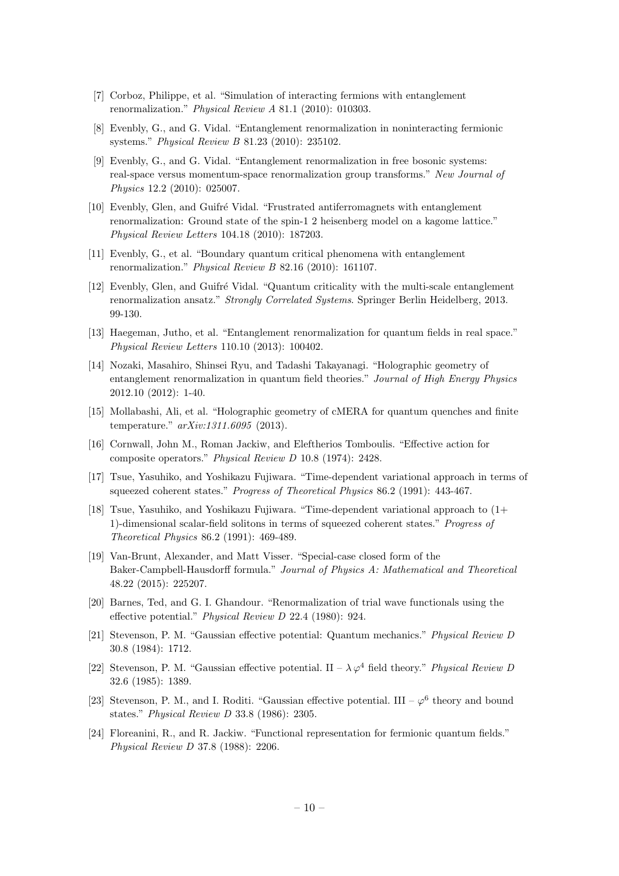- [7] Corboz, Philippe, et al. "Simulation of interacting fermions with entanglement renormalization." Physical Review A 81.1 (2010): 010303.
- [8] Evenbly, G., and G. Vidal. "Entanglement renormalization in noninteracting fermionic systems." Physical Review B 81.23 (2010): 235102.
- [9] Evenbly, G., and G. Vidal. "Entanglement renormalization in free bosonic systems: real-space versus momentum-space renormalization group transforms." New Journal of Physics 12.2 (2010): 025007.
- [10] Evenbly, Glen, and Guifré Vidal. "Frustrated antiferromagnets with entanglement renormalization: Ground state of the spin-1 2 heisenberg model on a kagome lattice." Physical Review Letters 104.18 (2010): 187203.
- [11] Evenbly, G., et al. "Boundary quantum critical phenomena with entanglement renormalization." Physical Review B 82.16 (2010): 161107.
- <span id="page-10-0"></span>[12] Evenbly, Glen, and Guifré Vidal. "Quantum criticality with the multi-scale entanglement renormalization ansatz." Strongly Correlated Systems. Springer Berlin Heidelberg, 2013. 99-130.
- <span id="page-10-1"></span>[13] Haegeman, Jutho, et al. "Entanglement renormalization for quantum fields in real space." Physical Review Letters 110.10 (2013): 100402.
- <span id="page-10-4"></span>[14] Nozaki, Masahiro, Shinsei Ryu, and Tadashi Takayanagi. "Holographic geometry of entanglement renormalization in quantum field theories." Journal of High Energy Physics 2012.10 (2012): 1-40.
- <span id="page-10-2"></span>[15] Mollabashi, Ali, et al. "Holographic geometry of cMERA for quantum quenches and finite temperature." arXiv:1311.6095 (2013).
- <span id="page-10-3"></span>[16] Cornwall, John M., Roman Jackiw, and Eleftherios Tomboulis. "Effective action for composite operators." Physical Review D 10.8 (1974): 2428.
- <span id="page-10-5"></span>[17] Tsue, Yasuhiko, and Yoshikazu Fujiwara. "Time-dependent variational approach in terms of squeezed coherent states." Progress of Theoretical Physics 86.2 (1991): 443-467.
- <span id="page-10-7"></span>[18] Tsue, Yasuhiko, and Yoshikazu Fujiwara. "Time-dependent variational approach to (1+ 1)-dimensional scalar-field solitons in terms of squeezed coherent states." Progress of Theoretical Physics 86.2 (1991): 469-489.
- <span id="page-10-6"></span>[19] Van-Brunt, Alexander, and Matt Visser. "Special-case closed form of the Baker-Campbell-Hausdorff formula." Journal of Physics A: Mathematical and Theoretical 48.22 (2015): 225207.
- <span id="page-10-8"></span>[20] Barnes, Ted, and G. I. Ghandour. "Renormalization of trial wave functionals using the effective potential." Physical Review D 22.4 (1980): 924.
- [21] Stevenson, P. M. "Gaussian effective potential: Quantum mechanics." Physical Review D 30.8 (1984): 1712.
- <span id="page-10-10"></span>[22] Stevenson, P. M. "Gaussian effective potential. II –  $\lambda \varphi^4$  field theory." Physical Review D 32.6 (1985): 1389.
- <span id="page-10-9"></span>[23] Stevenson, P. M., and I. Roditi. "Gaussian effective potential. III –  $\varphi^6$  theory and bound states." Physical Review D 33.8 (1986): 2305.
- <span id="page-10-11"></span>[24] Floreanini, R., and R. Jackiw. "Functional representation for fermionic quantum fields." Physical Review D 37.8 (1988): 2206.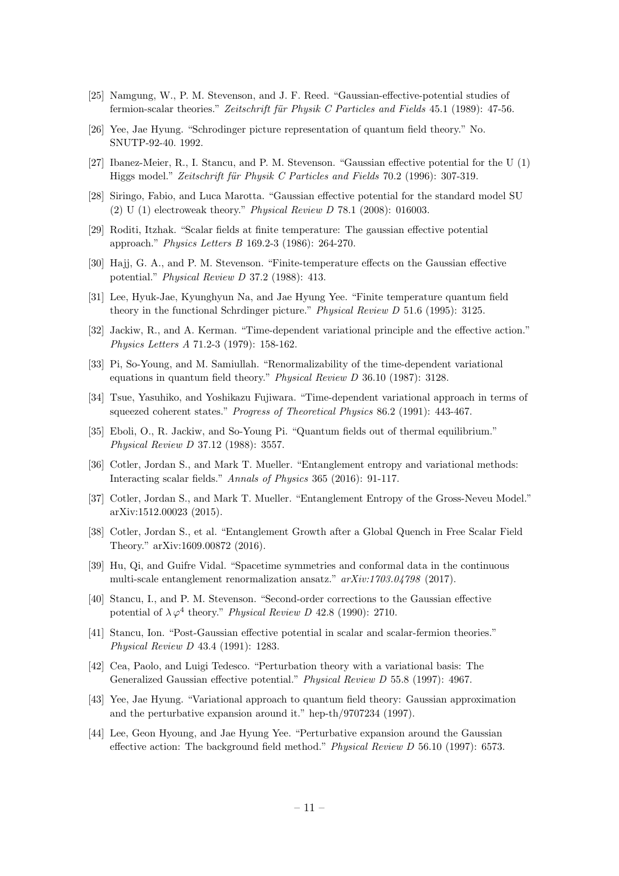- <span id="page-11-0"></span>[25] Namgung, W., P. M. Stevenson, and J. F. Reed. "Gaussian-effective-potential studies of fermion-scalar theories." Zeitschrift für Physik C Particles and Fields  $45.1$  (1989):  $47-56$ .
- [26] Yee, Jae Hyung. "Schrodinger picture representation of quantum field theory." No. SNUTP-92-40. 1992.
- [27] Ibanez-Meier, R., I. Stancu, and P. M. Stevenson. "Gaussian effective potential for the U (1) Higgs model." Zeitschrift für Physik C Particles and Fields 70.2 (1996): 307-319.
- <span id="page-11-1"></span>[28] Siringo, Fabio, and Luca Marotta. "Gaussian effective potential for the standard model SU (2) U (1) electroweak theory." Physical Review D 78.1 (2008): 016003.
- [29] Roditi, Itzhak. "Scalar fields at finite temperature: The gaussian effective potential approach." Physics Letters B 169.2-3 (1986): 264-270.
- [30] Hajj, G. A., and P. M. Stevenson. "Finite-temperature effects on the Gaussian effective potential." Physical Review D 37.2 (1988): 413.
- [31] Lee, Hyuk-Jae, Kyunghyun Na, and Jae Hyung Yee. "Finite temperature quantum field theory in the functional Schrdinger picture." Physical Review D 51.6 (1995): 3125.
- <span id="page-11-2"></span>[32] Jackiw, R., and A. Kerman. "Time-dependent variational principle and the effective action." Physics Letters A 71.2-3 (1979): 158-162.
- [33] Pi, So-Young, and M. Samiullah. "Renormalizability of the time-dependent variational equations in quantum field theory." Physical Review D 36.10 (1987): 3128.
- [34] Tsue, Yasuhiko, and Yoshikazu Fujiwara. "Time-dependent variational approach in terms of squeezed coherent states." Progress of Theoretical Physics 86.2 (1991): 443-467.
- <span id="page-11-3"></span>[35] Eboli, O., R. Jackiw, and So-Young Pi. "Quantum fields out of thermal equilibrium." Physical Review D 37.12 (1988): 3557.
- <span id="page-11-4"></span>[36] Cotler, Jordan S., and Mark T. Mueller. "Entanglement entropy and variational methods: Interacting scalar fields." Annals of Physics 365 (2016): 91-117.
- [37] Cotler, Jordan S., and Mark T. Mueller. "Entanglement Entropy of the Gross-Neveu Model." arXiv:1512.00023 (2015).
- <span id="page-11-5"></span>[38] Cotler, Jordan S., et al. "Entanglement Growth after a Global Quench in Free Scalar Field Theory." arXiv:1609.00872 (2016).
- <span id="page-11-6"></span>[39] Hu, Qi, and Guifre Vidal. "Spacetime symmetries and conformal data in the continuous multi-scale entanglement renormalization ansatz." arXiv:1703.04798 (2017).
- <span id="page-11-7"></span>[40] Stancu, I., and P. M. Stevenson. "Second-order corrections to the Gaussian effective potential of  $\lambda \varphi^4$  theory." Physical Review D 42.8 (1990): 2710.
- [41] Stancu, Ion. "Post-Gaussian effective potential in scalar and scalar-fermion theories." Physical Review D 43.4 (1991): 1283.
- [42] Cea, Paolo, and Luigi Tedesco. "Perturbation theory with a variational basis: The Generalized Gaussian effective potential." Physical Review D 55.8 (1997): 4967.
- [43] Yee, Jae Hyung. "Variational approach to quantum field theory: Gaussian approximation and the perturbative expansion around it." hep-th/9707234 (1997).
- [44] Lee, Geon Hyoung, and Jae Hyung Yee. "Perturbative expansion around the Gaussian effective action: The background field method." Physical Review D 56.10 (1997): 6573.